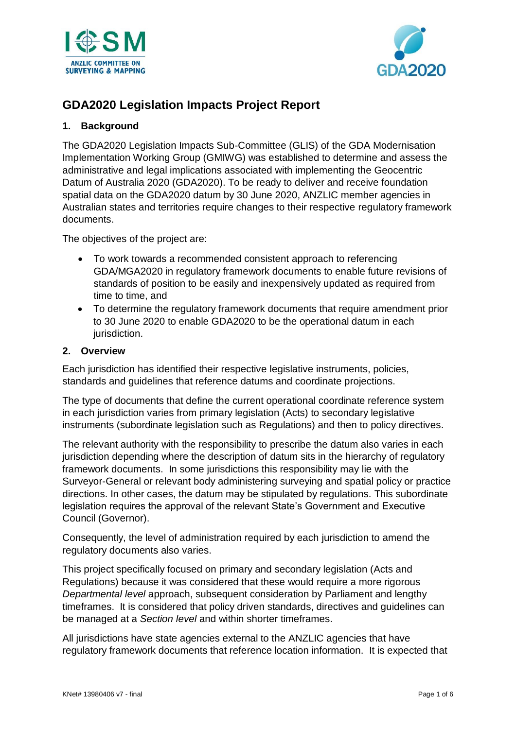



# **GDA2020 Legislation Impacts Project Report**

### **1. Background**

The GDA2020 Legislation Impacts Sub-Committee (GLIS) of the GDA Modernisation Implementation Working Group (GMIWG) was established to determine and assess the administrative and legal implications associated with implementing the Geocentric Datum of Australia 2020 (GDA2020). To be ready to deliver and receive foundation spatial data on the GDA2020 datum by 30 June 2020, ANZLIC member agencies in Australian states and territories require changes to their respective regulatory framework documents.

The objectives of the project are:

- To work towards a recommended consistent approach to referencing GDA/MGA2020 in regulatory framework documents to enable future revisions of standards of position to be easily and inexpensively updated as required from time to time, and
- To determine the regulatory framework documents that require amendment prior to 30 June 2020 to enable GDA2020 to be the operational datum in each jurisdiction.

### **2. Overview**

Each jurisdiction has identified their respective legislative instruments, policies, standards and guidelines that reference datums and coordinate projections.

The type of documents that define the current operational coordinate reference system in each jurisdiction varies from primary legislation (Acts) to secondary legislative instruments (subordinate legislation such as Regulations) and then to policy directives.

The relevant authority with the responsibility to prescribe the datum also varies in each jurisdiction depending where the description of datum sits in the hierarchy of regulatory framework documents. In some jurisdictions this responsibility may lie with the Surveyor-General or relevant body administering surveying and spatial policy or practice directions. In other cases, the datum may be stipulated by regulations. This subordinate legislation requires the approval of the relevant State's Government and Executive Council (Governor).

Consequently, the level of administration required by each jurisdiction to amend the regulatory documents also varies.

This project specifically focused on primary and secondary legislation (Acts and Regulations) because it was considered that these would require a more rigorous *Departmental level* approach, subsequent consideration by Parliament and lengthy timeframes. It is considered that policy driven standards, directives and guidelines can be managed at a *Section level* and within shorter timeframes.

All jurisdictions have state agencies external to the ANZLIC agencies that have regulatory framework documents that reference location information. It is expected that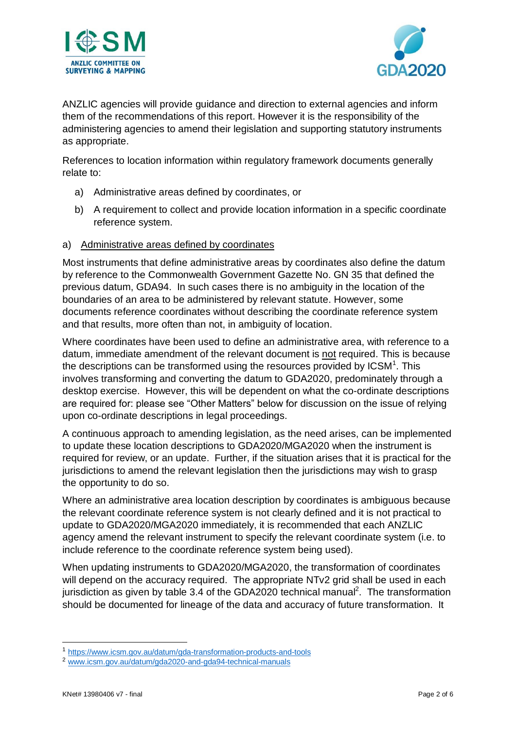



ANZLIC agencies will provide guidance and direction to external agencies and inform them of the recommendations of this report. However it is the responsibility of the administering agencies to amend their legislation and supporting statutory instruments as appropriate.

References to location information within regulatory framework documents generally relate to:

- a) Administrative areas defined by coordinates, or
- b) A requirement to collect and provide location information in a specific coordinate reference system.

### a) Administrative areas defined by coordinates

Most instruments that define administrative areas by coordinates also define the datum by reference to the Commonwealth Government Gazette No. GN 35 that defined the previous datum, GDA94. In such cases there is no ambiguity in the location of the boundaries of an area to be administered by relevant statute. However, some documents reference coordinates without describing the coordinate reference system and that results, more often than not, in ambiguity of location.

Where coordinates have been used to define an administrative area, with reference to a datum, immediate amendment of the relevant document is not required. This is because the descriptions can be transformed using the resources provided by  $\text{ICSM}^1$ . This involves transforming and converting the datum to GDA2020, predominately through a desktop exercise. However, this will be dependent on what the co-ordinate descriptions are required for: please see "Other Matters" below for discussion on the issue of relying upon co-ordinate descriptions in legal proceedings.

A continuous approach to amending legislation, as the need arises, can be implemented to update these location descriptions to GDA2020/MGA2020 when the instrument is required for review, or an update. Further, if the situation arises that it is practical for the jurisdictions to amend the relevant legislation then the jurisdictions may wish to grasp the opportunity to do so.

Where an administrative area location description by coordinates is ambiguous because the relevant coordinate reference system is not clearly defined and it is not practical to update to GDA2020/MGA2020 immediately, it is recommended that each ANZLIC agency amend the relevant instrument to specify the relevant coordinate system (i.e. to include reference to the coordinate reference system being used).

When updating instruments to GDA2020/MGA2020, the transformation of coordinates will depend on the accuracy required. The appropriate NTv2 grid shall be used in each jurisdiction as given by table 3.4 of the GDA2020 technical manual<sup>2</sup>. The transformation should be documented for lineage of the data and accuracy of future transformation. It

<u>.</u>

<sup>1</sup> <https://www.icsm.gov.au/datum/gda-transformation-products-and-tools>

<sup>2</sup> [www.icsm.gov.au/datum/gda2020-and-gda94-technical-manuals](http://www.icsm.gov.au/datum/gda2020-and-gda94-technical-manuals)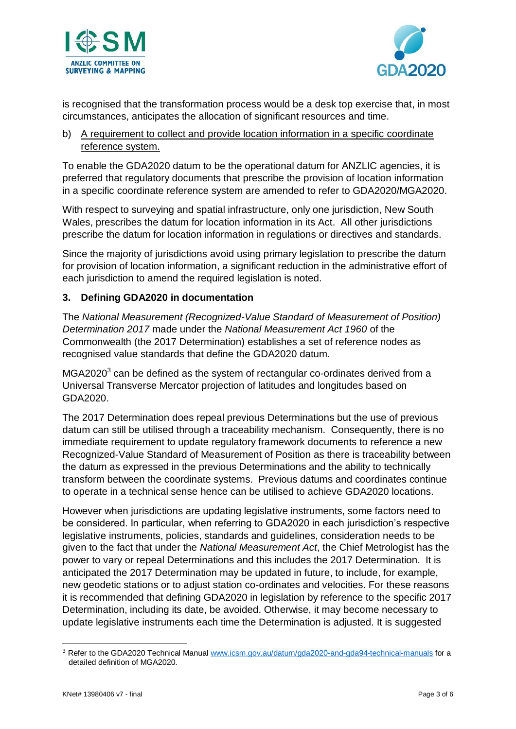



is recognised that the transformation process would be a desk top exercise that, in most circumstances, anticipates the allocation of significant resources and time.

# b) A requirement to collect and provide location information in a specific coordinate reference system.

To enable the GDA2020 datum to be the operational datum for ANZLIC agencies, it is preferred that regulatory documents that prescribe the provision of location information in a specific coordinate reference system are amended to refer to GDA2020/MGA2020.

With respect to surveying and spatial infrastructure, only one jurisdiction, New South Wales, prescribes the datum for location information in its Act. All other jurisdictions prescribe the datum for location information in regulations or directives and standards.

Since the majority of jurisdictions avoid using primary legislation to prescribe the datum for provision of location information, a significant reduction in the administrative effort of each jurisdiction to amend the required legislation is noted.

# **3. Defining GDA2020 in documentation**

The *National Measurement (Recognized-Value Standard of Measurement of Position) Determination 2017* made under the *National Measurement Act 1960* of the Commonwealth (the 2017 Determination) establishes a set of reference nodes as recognised value standards that define the GDA2020 datum.

 $MGA2020<sup>3</sup>$  can be defined as the system of rectangular co-ordinates derived from a Universal Transverse Mercator projection of latitudes and longitudes based on GDA2020.

The 2017 Determination does repeal previous Determinations but the use of previous datum can still be utilised through a traceability mechanism. Consequently, there is no immediate requirement to update regulatory framework documents to reference a new Recognized-Value Standard of Measurement of Position as there is traceability between the datum as expressed in the previous Determinations and the ability to technically transform between the coordinate systems. Previous datums and coordinates continue to operate in a technical sense hence can be utilised to achieve GDA2020 locations.

However when jurisdictions are updating legislative instruments, some factors need to be considered. In particular, when referring to GDA2020 in each jurisdiction's respective legislative instruments, policies, standards and guidelines, consideration needs to be given to the fact that under the *National Measurement Act*, the Chief Metrologist has the power to vary or repeal Determinations and this includes the 2017 Determination. It is anticipated the 2017 Determination may be updated in future, to include, for example, new geodetic stations or to adjust station co-ordinates and velocities. For these reasons it is recommended that defining GDA2020 in legislation by reference to the specific 2017 Determination, including its date, be avoided. Otherwise, it may become necessary to update legislative instruments each time the Determination is adjusted. It is suggested

1

<sup>&</sup>lt;sup>3</sup> Refer to the GDA2020 Technical Manual [www.icsm.gov.au/datum/gda2020-and-gda94-technical-manuals](http://www.icsm.gov.au/datum/gda2020-and-gda94-technical-manuals) for a detailed definition of MGA2020.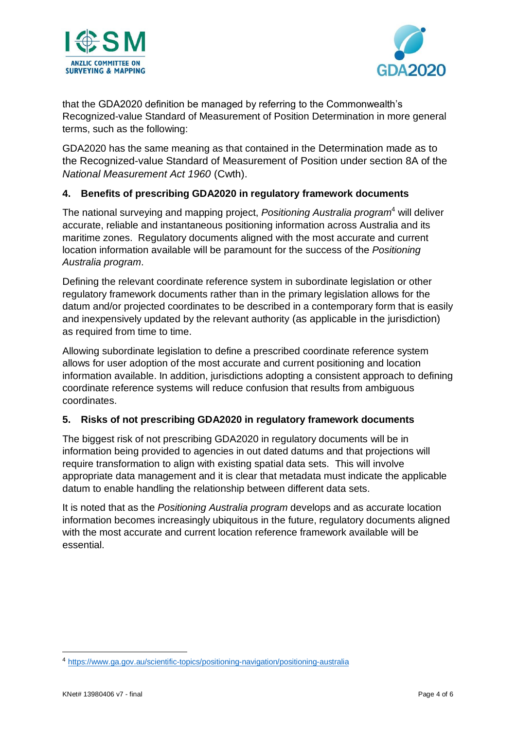



that the GDA2020 definition be managed by referring to the Commonwealth's Recognized-value Standard of Measurement of Position Determination in more general terms, such as the following:

GDA2020 has the same meaning as that contained in the Determination made as to the Recognized-value Standard of Measurement of Position under section 8A of the *National Measurement Act 1960* (Cwth).

# **4. Benefits of prescribing GDA2020 in regulatory framework documents**

The national surveying and mapping project, *Positioning Australia program*<sup>4</sup> will deliver accurate, reliable and instantaneous positioning information across Australia and its maritime zones. Regulatory documents aligned with the most accurate and current location information available will be paramount for the success of the *Positioning Australia program*.

Defining the relevant coordinate reference system in subordinate legislation or other regulatory framework documents rather than in the primary legislation allows for the datum and/or projected coordinates to be described in a contemporary form that is easily and inexpensively updated by the relevant authority (as applicable in the jurisdiction) as required from time to time.

Allowing subordinate legislation to define a prescribed coordinate reference system allows for user adoption of the most accurate and current positioning and location information available. In addition, jurisdictions adopting a consistent approach to defining coordinate reference systems will reduce confusion that results from ambiguous coordinates.

# **5. Risks of not prescribing GDA2020 in regulatory framework documents**

The biggest risk of not prescribing GDA2020 in regulatory documents will be in information being provided to agencies in out dated datums and that projections will require transformation to align with existing spatial data sets. This will involve appropriate data management and it is clear that metadata must indicate the applicable datum to enable handling the relationship between different data sets.

It is noted that as the *Positioning Australia program* develops and as accurate location information becomes increasingly ubiquitous in the future, regulatory documents aligned with the most accurate and current location reference framework available will be essential.

1

<sup>4</sup> <https://www.ga.gov.au/scientific-topics/positioning-navigation/positioning-australia>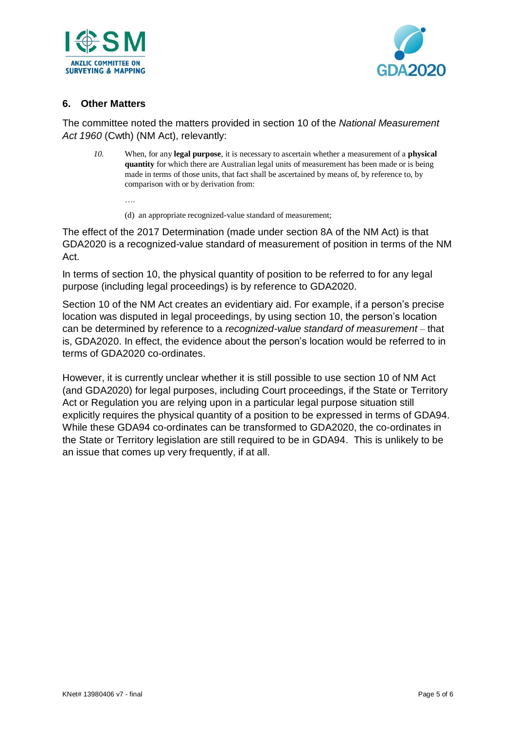



### **6. Other Matters**

The committee noted the matters provided in section 10 of the *National Measurement Act 1960* (Cwth) (NM Act), relevantly:

*10.* When, for any **legal purpose**, it is necessary to ascertain whether a measurement of a **physical quantity** for which there are Australian legal units of measurement has been made or is being made in terms of those units, that fact shall be ascertained by means of, by reference to, by comparison with or by derivation from:

….

(d) an appropriate recognized-value standard of measurement;

The effect of the 2017 Determination (made under section 8A of the NM Act) is that GDA2020 is a recognized-value standard of measurement of position in terms of the NM Act.

In terms of section 10, the physical quantity of position to be referred to for any legal purpose (including legal proceedings) is by reference to GDA2020.

Section 10 of the NM Act creates an evidentiary aid. For example, if a person's precise location was disputed in legal proceedings, by using section 10, the person's location can be determined by reference to a *recognized-value standard of measurement –* that is, GDA2020. In effect, the evidence about the person's location would be referred to in terms of GDA2020 co-ordinates.

However, it is currently unclear whether it is still possible to use section 10 of NM Act (and GDA2020) for legal purposes, including Court proceedings, if the State or Territory Act or Regulation you are relying upon in a particular legal purpose situation still explicitly requires the physical quantity of a position to be expressed in terms of GDA94. While these GDA94 co-ordinates can be transformed to GDA2020, the co-ordinates in the State or Territory legislation are still required to be in GDA94. This is unlikely to be an issue that comes up very frequently, if at all.